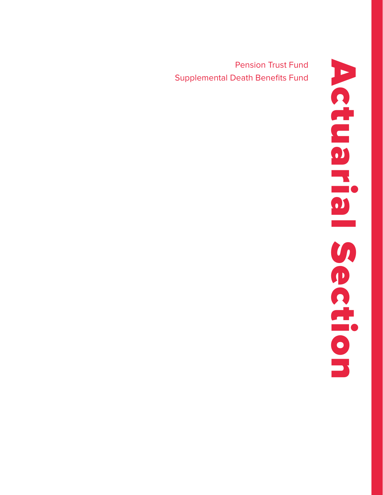Pension Trust Fund Supplemental Death Benefits Fund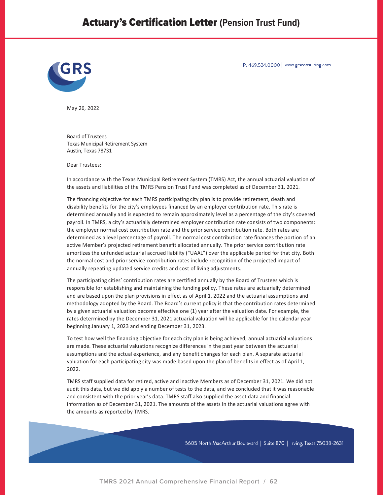# Actuary's Certification Letter **(Pension Trust Fund)**



P: 469.524.0000 | www.grsconsulting.com

May 26, 2022

Board of Trustees Texas Municipal Retirement System Austin, Texas 78731

Dear Trustees:

In accordance with the Texas Municipal Retirement System (TMRS) Act, the annual actuarial valuation of the assets and liabilities of the TMRS Pension Trust Fund was completed as of December 31, 2021.

The financing objective for each TMRS participating city plan is to provide retirement, death and disability benefits for the city's employees financed by an employer contribution rate. This rate is determined annually and is expected to remain approximately level as a percentage of the city's covered payroll. In TMRS, a city's actuarially determined employer contribution rate consists of two components: the employer normal cost contribution rate and the prior service contribution rate. Both rates are determined as a level percentage of payroll. The normal cost contribution rate finances the portion of an active Member's projected retirement benefit allocated annually. The prior service contribution rate amortizes the unfunded actuarial accrued liability ("UAAL") over the applicable period for that city. Both the normal cost and prior service contribution rates include recognition of the projected impact of annually repeating updated service credits and cost of living adjustments.

The participating cities' contribution rates are certified annually by the Board of Trustees which is responsible for establishing and maintaining the funding policy. These rates are actuarially determined and are based upon the plan provisions in effect as of April 1, 2022 and the actuarial assumptions and methodology adopted by the Board. The Board's current policy is that the contribution rates determined by a given actuarial valuation become effective one (1) year after the valuation date. For example, the rates determined by the December 31, 2021 actuarial valuation will be applicable for the calendar year beginning January 1, 2023 and ending December 31, 2023.

To test how well the financing objective for each city plan is being achieved, annual actuarial valuations are made. These actuarial valuations recognize differences in the past year between the actuarial assumptions and the actual experience, and any benefit changes for each plan. A separate actuarial valuation for each participating city was made based upon the plan of benefits in effect as of April 1, 2022.

TMRS staff supplied data for retired, active and inactive Members as of December 31, 2021. We did not audit this data, but we did apply a number of tests to the data, and we concluded that it was reasonable and consistent with the prior year's data. TMRS staff also supplied the asset data and financial information as of December 31, 2021. The amounts of the assets in the actuarial valuations agree with the amounts as reported by TMRS.

5605 North MacArthur Boulevard | Suite 870 | Irving, Texas 75038-2631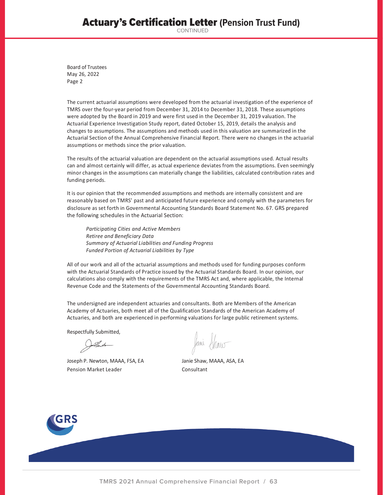# Actuary's Certification Letter **(Pension Trust Fund)**

CONTINUED

Board of Trustees May 26, 2022 Page 2

The current actuarial assumptions were developed from the actuarial investigation of the experience of TMRS over the four-year period from December 31, 2014 to December 31, 2018. These assumptions were adopted by the Board in 2019 and were first used in the December 31, 2019 valuation. The Actuarial Experience Investigation Study report, dated October 15, 2019, details the analysis and changes to assumptions. The assumptions and methods used in this valuation are summarized in the Actuarial Section of the Annual Comprehensive Financial Report. There were no changes in the actuarial assumptions or methods since the prior valuation.

The results of the actuarial valuation are dependent on the actuarial assumptions used. Actual results can and almost certainly will differ, as actual experience deviates from the assumptions. Even seemingly minor changes in the assumptions can materially change the liabilities, calculated contribution rates and funding periods.

It is our opinion that the recommended assumptions and methods are internally consistent and are reasonably based on TMRS' past and anticipated future experience and comply with the parameters for disclosure as set forth in Governmental Accounting Standards Board Statement No. 67. GRS prepared the following schedules in the Actuarial Section:

*Participating Cities and Active Members Retiree and Beneficiary Data Summary of Actuarial Liabilities and Funding Progress Funded Portion of Actuarial Liabilities by Type*

All of our work and all of the actuarial assumptions and methods used for funding purposes conform with the Actuarial Standards of Practice issued by the Actuarial Standards Board. In our opinion, our calculations also comply with the requirements of the TMRS Act and, where applicable, the Internal Revenue Code and the Statements of the Governmental Accounting Standards Board.

The undersigned are independent actuaries and consultants. Both are Members of the American Academy of Actuaries, both meet all of the Qualification Standards of the American Academy of Actuaries, and both are experienced in performing valuations for large public retirement systems.

Respectfully Submitted,

Joseph P. Newton, MAAA, FSA, EA Janie Shaw, MAAA, ASA, EA Pension Market Leader Consultant

Jami Shaw

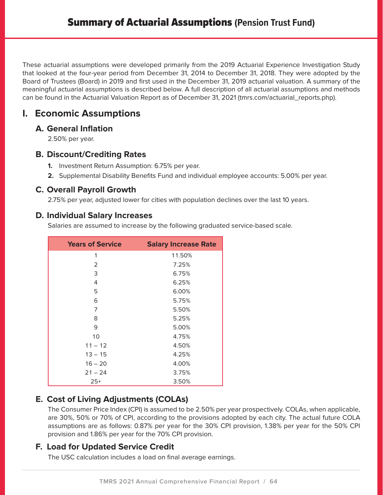These actuarial assumptions were developed primarily from the 2019 Actuarial Experience Investigation Study that looked at the four-year period from December 31, 2014 to December 31, 2018. They were adopted by the Board of Trustees (Board) in 2019 and first used in the December 31, 2019 actuarial valuation. A summary of the meaningful actuarial assumptions is described below. A full description of all actuarial assumptions and methods can be found in the Actuarial Valuation Report as of December 31, 2021 (tmrs.com/actuarial\_reports.php).

# **I. Economic Assumptions**

## **A. General Inflation**

2.50% per year.

## **B. Discount/Crediting Rates**

- **1.** Investment Return Assumption: 6.75% per year.
- **2.** Supplemental Disability Benefits Fund and individual employee accounts: 5.00% per year.

## **C. Overall Payroll Growth**

2.75% per year, adjusted lower for cities with population declines over the last 10 years.

### **D. Individual Salary Increases**

Salaries are assumed to increase by the following graduated service-based scale.

| <b>Years of Service</b> | <b>Salary Increase Rate</b> |
|-------------------------|-----------------------------|
| 1                       | 11.50%                      |
| 2                       | 7.25%                       |
| 3                       | 6.75%                       |
| 4                       | 6.25%                       |
| 5                       | 6.00%                       |
| 6                       | 5.75%                       |
| 7                       | 5.50%                       |
| 8                       | 5.25%                       |
| 9                       | 5.00%                       |
| 10                      | 4.75%                       |
| $11 - 12$               | 4.50%                       |
| $13 - 15$               | 4.25%                       |
| $16 - 20$               | 4.00%                       |
| $21 - 24$               | 3.75%                       |
| $25+$                   | 3.50%                       |

## **E. Cost of Living Adjustments (COLAs)**

The Consumer Price Index (CPI) is assumed to be 2.50% per year prospectively. COLAs, when applicable, are 30%, 50% or 70% of CPI, according to the provisions adopted by each city. The actual future COLA assumptions are as follows: 0.87% per year for the 30% CPI provision, 1.38% per year for the 50% CPI provision and 1.86% per year for the 70% CPI provision.

## **F. Load for Updated Service Credit**

The USC calculation includes a load on final average earnings.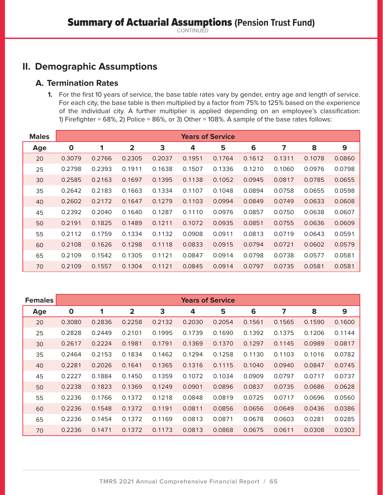## **II. Demographic Assumptions**

### **A. Termination Rates**

**1.** For the first 10 years of service, the base table rates vary by gender, entry age and length of service. For each city, the base table is then multiplied by a factor from 75% to 125% based on the experience of the individual city. A further multiplier is applied depending on an employee's classification: 1) Firefighter = 68%, 2) Police = 86%, or 3) Other = 108%. A sample of the base rates follows:

| <b>Males</b> | <b>Years of Service</b> |        |                         |        |        |        |        |        |        |        |  |
|--------------|-------------------------|--------|-------------------------|--------|--------|--------|--------|--------|--------|--------|--|
| Age          | $\mathbf 0$             | 1      | $\overline{\mathbf{2}}$ | 3      | 4      | 5      | 6      | 7      | 8      | 9      |  |
| 20           | 0.3079                  | 0.2766 | 0.2305                  | 0.2037 | 0.1951 | 0.1764 | 0.1612 | 0.1311 | 0.1078 | 0.0860 |  |
| 25           | 0.2798                  | 0.2393 | 0.1911                  | 0.1638 | 0.1507 | 0.1336 | 0.1210 | 0.1060 | 0.0976 | 0.0798 |  |
| 30           | 0.2585                  | 0.2163 | 0.1697                  | 0.1395 | 0.1138 | 0.1052 | 0.0945 | 0.0817 | 0.0785 | 0.0655 |  |
| 35           | 0.2642                  | 0.2183 | 0.1663                  | 0.1334 | 0.1107 | 0.1048 | 0.0894 | 0.0758 | 0.0655 | 0.0598 |  |
| 40           | 0.2602                  | 0.2172 | 0.1647                  | 0.1279 | 0.1103 | 0.0994 | 0.0849 | 0.0749 | 0.0633 | 0.0608 |  |
| 45           | 0.2392                  | 0.2040 | 0.1640                  | 0.1287 | 0.1110 | 0.0976 | 0.0857 | 0.0750 | 0.0638 | 0.0607 |  |
| 50           | 0.2191                  | 0.1825 | 0.1489                  | 0.1211 | 0.1072 | 0.0935 | 0.0851 | 0.0755 | 0.0636 | 0.0609 |  |
| 55           | 0.2112                  | 0.1759 | 0.1334                  | 0.1132 | 0.0908 | 0.0911 | 0.0813 | 0.0719 | 0.0643 | 0.0591 |  |
| 60           | 0.2108                  | 0.1626 | 0.1298                  | 0.1118 | 0.0833 | 0.0915 | 0.0794 | 0.0721 | 0.0602 | 0.0579 |  |
| 65           | 0.2109                  | 0.1542 | 0.1305                  | 0.1121 | 0.0847 | 0.0914 | 0.0798 | 0.0738 | 0.0577 | 0.0581 |  |
| 70           | 0.2109                  | 0.1557 | 0.1304                  | 0.1121 | 0.0845 | 0.0914 | 0.0797 | 0.0735 | 0.0581 | 0.0581 |  |

| <b>Females</b> | <b>Years of Service</b> |        |                         |        |        |        |        |        |        |        |  |
|----------------|-------------------------|--------|-------------------------|--------|--------|--------|--------|--------|--------|--------|--|
| Age            | $\mathbf{o}$            | 1      | $\overline{\mathbf{2}}$ | 3      | 4      | 5      | 6      | 7      | 8      | 9      |  |
| 20             | 0.3080                  | 0.2836 | 0.2258                  | 0.2132 | 0.2030 | 0.2054 | 0.1561 | 0.1565 | 0.1590 | 0.1600 |  |
| 25             | 0.2828                  | 0.2449 | 0.2101                  | 0.1995 | 0.1739 | 0.1690 | 0.1392 | 0.1375 | 0.1206 | 0.1144 |  |
| 30             | 0.2617                  | 0.2224 | 0.1981                  | 0.1791 | 0.1369 | 0.1370 | 0.1297 | 0.1145 | 0.0989 | 0.0817 |  |
| 35             | 0.2464                  | 0.2153 | 0.1834                  | 0.1462 | 0.1294 | 0.1258 | 0.1130 | 0.1103 | 0.1016 | 0.0782 |  |
| 40             | 0.2281                  | 0.2026 | 0.1641                  | 0.1365 | 0.1316 | 0.1115 | 0.1040 | 0.0940 | 0.0847 | 0.0745 |  |
| 45             | 0.2227                  | 0.1884 | 0.1450                  | 0.1359 | 0.1072 | 0.1034 | 0.0909 | 0.0797 | 0.0717 | 0.0737 |  |
| 50             | 0.2238                  | 0.1823 | 0.1369                  | 0.1249 | 0.0901 | 0.0896 | 0.0837 | 0.0735 | 0.0686 | 0.0628 |  |
| 55             | 0.2236                  | 0.1766 | 0.1372                  | 0.1218 | 0.0848 | 0.0819 | 0.0725 | 0.0717 | 0.0696 | 0.0560 |  |
| 60             | 0.2236                  | 0.1548 | 0.1372                  | 0.1191 | 0.0811 | 0.0856 | 0.0656 | 0.0649 | 0.0436 | 0.0386 |  |
| 65             | 0.2236                  | 0.1454 | 0.1372                  | 0.1169 | 0.0813 | 0.0871 | 0.0678 | 0.0603 | 0.0281 | 0.0285 |  |
| 70             | 0.2236                  | 0.1471 | 0.1372                  | 0.1173 | 0.0813 | 0.0868 | 0.0675 | 0.0611 | 0.0308 | 0.0303 |  |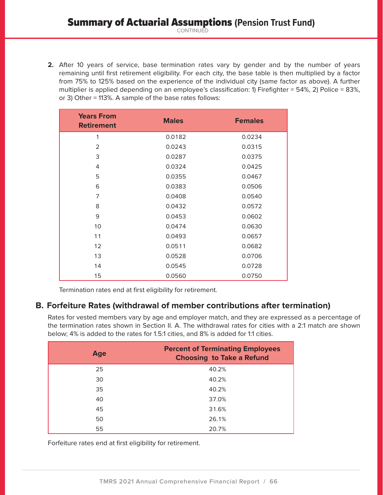**2.** After 10 years of service, base termination rates vary by gender and by the number of years remaining until first retirement eligibility. For each city, the base table is then multiplied by a factor from 75% to 125% based on the experience of the individual city (same factor as above). A further multiplier is applied depending on an employee's classification: 1) Firefighter = 54%, 2) Police = 83%, or 3) Other = 113%. A sample of the base rates follows:

| <b>Years From</b><br><b>Retirement</b> | <b>Males</b> | <b>Females</b> |
|----------------------------------------|--------------|----------------|
| 1                                      | 0.0182       | 0.0234         |
| 2                                      | 0.0243       | 0.0315         |
| 3                                      | 0.0287       | 0.0375         |
| 4                                      | 0.0324       | 0.0425         |
| 5                                      | 0.0355       | 0.0467         |
| 6                                      | 0.0383       | 0.0506         |
| 7                                      | 0.0408       | 0.0540         |
| 8                                      | 0.0432       | 0.0572         |
| 9                                      | 0.0453       | 0.0602         |
| 10                                     | 0.0474       | 0.0630         |
| 11                                     | 0.0493       | 0.0657         |
| 12                                     | 0.0511       | 0.0682         |
| 13                                     | 0.0528       | 0.0706         |
| 14                                     | 0.0545       | 0.0728         |
| 15                                     | 0.0560       | 0.0750         |

Termination rates end at first eligibility for retirement.

### **B. Forfeiture Rates (withdrawal of member contributions after termination)**

Rates for vested members vary by age and employer match, and they are expressed as a percentage of the termination rates shown in Section II. A. The withdrawal rates for cities with a 2:1 match are shown below; 4% is added to the rates for 1.5:1 cities, and 8% is added for 1:1 cities.

| Age | <b>Percent of Terminating Employees</b><br><b>Choosing to Take a Refund</b> |
|-----|-----------------------------------------------------------------------------|
| 25  | 40.2%                                                                       |
| 30  | 40.2%                                                                       |
| 35  | 40.2%                                                                       |
| 40  | 37.0%                                                                       |
| 45  | 31.6%                                                                       |
| 50  | 26.1%                                                                       |
| 55  | 20.7%                                                                       |

Forfeiture rates end at first eligibility for retirement.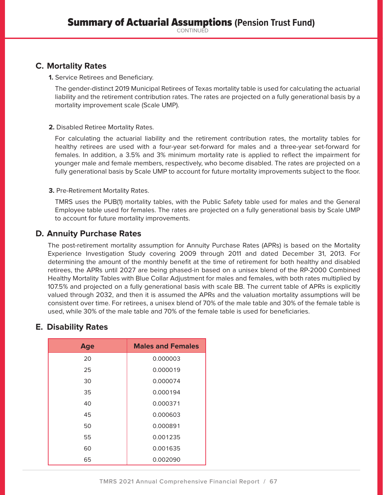## **C. Mortality Rates**

**1.** Service Retirees and Beneficiary.

The gender-distinct 2019 Municipal Retirees of Texas mortality table is used for calculating the actuarial liability and the retirement contribution rates. The rates are projected on a fully generational basis by a mortality improvement scale (Scale UMP).

#### **2.** Disabled Retiree Mortality Rates.

For calculating the actuarial liability and the retirement contribution rates, the mortality tables for healthy retirees are used with a four-year set-forward for males and a three-year set-forward for females. In addition, a 3.5% and 3% minimum mortality rate is applied to reflect the impairment for younger male and female members, respectively, who become disabled. The rates are projected on a fully generational basis by Scale UMP to account for future mortality improvements subject to the floor.

#### **3.** Pre-Retirement Mortality Rates.

TMRS uses the PUB(1) mortality tables, with the Public Safety table used for males and the General Employee table used for females. The rates are projected on a fully generational basis by Scale UMP to account for future mortality improvements.

### **D. Annuity Purchase Rates**

The post-retirement mortality assumption for Annuity Purchase Rates (APRs) is based on the Mortality Experience Investigation Study covering 2009 through 2011 and dated December 31, 2013. For determining the amount of the monthly benefit at the time of retirement for both healthy and disabled retirees, the APRs until 2027 are being phased-in based on a unisex blend of the RP-2000 Combined Healthy Mortality Tables with Blue Collar Adjustment for males and females, with both rates multiplied by 107.5% and projected on a fully generational basis with scale BB. The current table of APRs is explicitly valued through 2032, and then it is assumed the APRs and the valuation mortality assumptions will be consistent over time. For retirees, a unisex blend of 70% of the male table and 30% of the female table is used, while 30% of the male table and 70% of the female table is used for beneficiaries.

## **E. Disability Rates**

| Age | <b>Males and Females</b> |
|-----|--------------------------|
| 20  | 0.000003                 |
| 25  | 0.000019                 |
| 30  | 0.000074                 |
| 35  | 0.000194                 |
| 40  | 0.000371                 |
| 45  | 0.000603                 |
| 50  | 0.000891                 |
| 55  | 0.001235                 |
| 60  | 0.001635                 |
| 65  | 0.002090                 |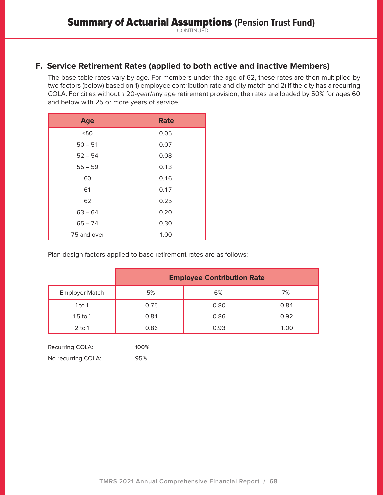## **F. Service Retirement Rates (applied to both active and inactive Members)**

The base table rates vary by age. For members under the age of 62, these rates are then multiplied by two factors (below) based on 1) employee contribution rate and city match and 2) if the city has a recurring COLA. For cities without a 20-year/any age retirement provision, the rates are loaded by 50% for ages 60 and below with 25 or more years of service.

| <b>Age</b>  | <b>Rate</b> |
|-------------|-------------|
| < 50        | 0.05        |
| $50 - 51$   | 0.07        |
| $52 - 54$   | 0.08        |
| $55 - 59$   | 0.13        |
| 60          | 0.16        |
| 61          | 0.17        |
| 62          | 0.25        |
| $63 - 64$   | 0.20        |
| $65 - 74$   | 0.30        |
| 75 and over | 1.00        |

Plan design factors applied to base retirement rates are as follows:

|                       | <b>Employee Contribution Rate</b> |      |      |  |  |  |  |
|-----------------------|-----------------------------------|------|------|--|--|--|--|
| <b>Employer Match</b> | 5%                                | 6%   | 7%   |  |  |  |  |
| 1 to 1                | 0.75                              | 0.80 | 0.84 |  |  |  |  |
| 1.5 to 1              | 0.81                              | 0.86 | 0.92 |  |  |  |  |
| $2$ to 1              | 0.86                              | 0.93 | 1.00 |  |  |  |  |

| Recurring COLA:    | 100% |
|--------------------|------|
| No recurring COLA: | 95%  |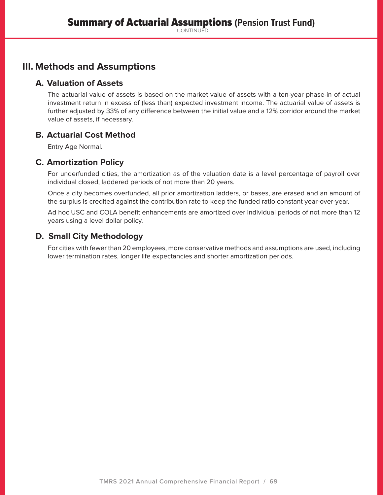# **III. Methods and Assumptions**

## **A. Valuation of Assets**

The actuarial value of assets is based on the market value of assets with a ten-year phase-in of actual investment return in excess of (less than) expected investment income. The actuarial value of assets is further adjusted by 33% of any difference between the initial value and a 12% corridor around the market value of assets, if necessary.

## **B. Actuarial Cost Method**

Entry Age Normal.

## **C. Amortization Policy**

For underfunded cities, the amortization as of the valuation date is a level percentage of payroll over individual closed, laddered periods of not more than 20 years.

Once a city becomes overfunded, all prior amortization ladders, or bases, are erased and an amount of the surplus is credited against the contribution rate to keep the funded ratio constant year-over-year.

Ad hoc USC and COLA benefit enhancements are amortized over individual periods of not more than 12 years using a level dollar policy.

## **D. Small City Methodology**

For cities with fewer than 20 employees, more conservative methods and assumptions are used, including lower termination rates, longer life expectancies and shorter amortization periods.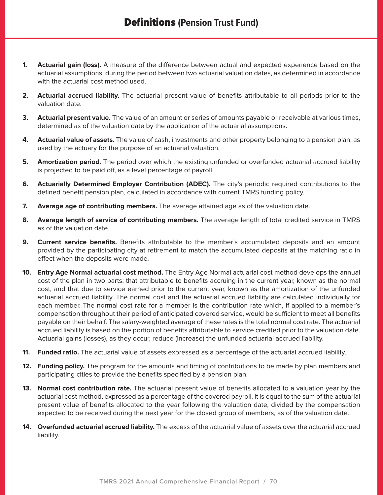- **1. Actuarial gain (loss).** A measure of the difference between actual and expected experience based on the actuarial assumptions, during the period between two actuarial valuation dates, as determined in accordance with the actuarial cost method used.
- **2. Actuarial accrued liability.** The actuarial present value of benefits attributable to all periods prior to the valuation date.
- **3. Actuarial present value.** The value of an amount or series of amounts payable or receivable at various times, determined as of the valuation date by the application of the actuarial assumptions.
- **4. Actuarial value of assets.** The value of cash, investments and other property belonging to a pension plan, as used by the actuary for the purpose of an actuarial valuation.
- **5. Amortization period.** The period over which the existing unfunded or overfunded actuarial accrued liability is projected to be paid off, as a level percentage of payroll.
- **6. Actuarially Determined Employer Contribution (ADEC).** The city's periodic required contributions to the defined benefit pension plan, calculated in accordance with current TMRS funding policy.
- **7. Average age of contributing members.** The average attained age as of the valuation date.
- **8. Average length of service of contributing members.** The average length of total credited service in TMRS as of the valuation date.
- **9. Current service benefits.** Benefits attributable to the member's accumulated deposits and an amount provided by the participating city at retirement to match the accumulated deposits at the matching ratio in effect when the deposits were made.
- **10. Entry Age Normal actuarial cost method.** The Entry Age Normal actuarial cost method develops the annual cost of the plan in two parts: that attributable to benefits accruing in the current year, known as the normal cost, and that due to service earned prior to the current year, known as the amortization of the unfunded actuarial accrued liability. The normal cost and the actuarial accrued liability are calculated individually for each member. The normal cost rate for a member is the contribution rate which, if applied to a member's compensation throughout their period of anticipated covered service, would be sufficient to meet all benefits payable on their behalf. The salary-weighted average of these rates is the total normal cost rate. The actuarial accrued liability is based on the portion of benefits attributable to service credited prior to the valuation date. Actuarial gains (losses), as they occur, reduce (increase) the unfunded actuarial accrued liability.
- **11. Funded ratio.** The actuarial value of assets expressed as a percentage of the actuarial accrued liability.
- **12. Funding policy.** The program for the amounts and timing of contributions to be made by plan members and participating cities to provide the benefits specified by a pension plan.
- **13. Normal cost contribution rate.** The actuarial present value of benefits allocated to a valuation year by the actuarial cost method, expressed as a percentage of the covered payroll. It is equal to the sum of the actuarial present value of benefits allocated to the year following the valuation date, divided by the compensation expected to be received during the next year for the closed group of members, as of the valuation date.
- **14. Overfunded actuarial accrued liability.** The excess of the actuarial value of assets over the actuarial accrued liability.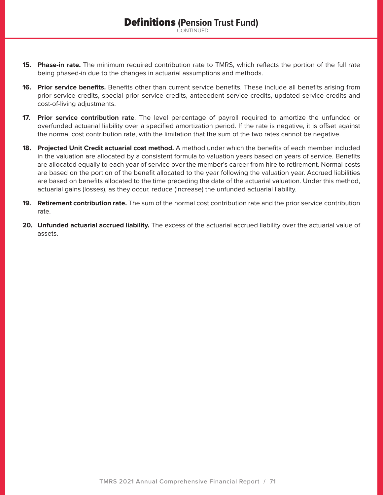- **15. Phase-in rate.** The minimum required contribution rate to TMRS, which reflects the portion of the full rate being phased-in due to the changes in actuarial assumptions and methods.
- **16. Prior service benefits.** Benefits other than current service benefits. These include all benefits arising from prior service credits, special prior service credits, antecedent service credits, updated service credits and cost-of-living adjustments.
- **17. Prior service contribution rate**. The level percentage of payroll required to amortize the unfunded or overfunded actuarial liability over a specified amortization period. If the rate is negative, it is offset against the normal cost contribution rate, with the limitation that the sum of the two rates cannot be negative.
- **18. Projected Unit Credit actuarial cost method.** A method under which the benefits of each member included in the valuation are allocated by a consistent formula to valuation years based on years of service. Benefits are allocated equally to each year of service over the member's career from hire to retirement. Normal costs are based on the portion of the benefit allocated to the year following the valuation year. Accrued liabilities are based on benefits allocated to the time preceding the date of the actuarial valuation. Under this method, actuarial gains (losses), as they occur, reduce (increase) the unfunded actuarial liability.
- **19. Retirement contribution rate.** The sum of the normal cost contribution rate and the prior service contribution rate.
- **20. Unfunded actuarial accrued liability.** The excess of the actuarial accrued liability over the actuarial value of assets.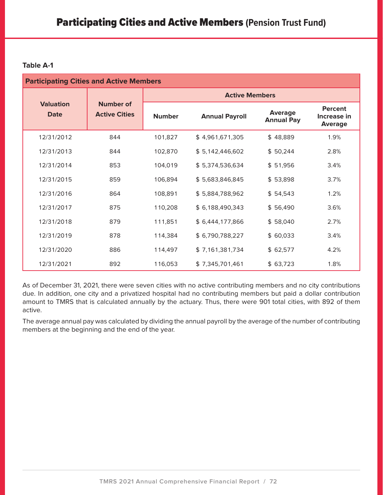| <b>Participating Cities and Active Members</b> |                                          |                       |                       |                                     |                                                 |  |  |  |  |  |
|------------------------------------------------|------------------------------------------|-----------------------|-----------------------|-------------------------------------|-------------------------------------------------|--|--|--|--|--|
|                                                |                                          | <b>Active Members</b> |                       |                                     |                                                 |  |  |  |  |  |
| <b>Valuation</b><br><b>Date</b>                | <b>Number of</b><br><b>Active Cities</b> | <b>Number</b>         | <b>Annual Payroll</b> | <b>Average</b><br><b>Annual Pay</b> | <b>Percent</b><br>Increase in<br><b>Average</b> |  |  |  |  |  |
| 12/31/2012                                     | 844                                      | 101,827               | \$4,961,671,305       | \$48,889                            | 1.9%                                            |  |  |  |  |  |
| 12/31/2013                                     | 844                                      | 102,870               | \$5,142,446,602       | \$50,244                            | 2.8%                                            |  |  |  |  |  |
| 12/31/2014                                     | 853                                      | 104,019               | \$5,374,536,634       | \$51,956                            | 3.4%                                            |  |  |  |  |  |
| 12/31/2015                                     | 859                                      | 106,894               | \$5,683,846,845       | \$53,898                            | 3.7%                                            |  |  |  |  |  |
| 12/31/2016                                     | 864                                      | 108,891               | \$5,884,788,962       | \$54,543                            | 1.2%                                            |  |  |  |  |  |
| 12/31/2017                                     | 875                                      | 110,208               | \$6,188,490,343       | \$56,490                            | 3.6%                                            |  |  |  |  |  |
| 12/31/2018                                     | 879                                      | 111,851               | \$6,444,177,866       | \$58,040                            | 2.7%                                            |  |  |  |  |  |
| 12/31/2019                                     | 878                                      | 114,384               | \$6,790,788,227       | \$60,033                            | 3.4%                                            |  |  |  |  |  |
| 12/31/2020                                     | 886                                      | 114,497               | \$7,161,381,734       | \$62,577                            | 4.2%                                            |  |  |  |  |  |
| 12/31/2021                                     | 892                                      | 116,053               | \$7,345,701,461       | \$63,723                            | 1.8%                                            |  |  |  |  |  |

As of December 31, 2021, there were seven cities with no active contributing members and no city contributions due. In addition, one city and a privatized hospital had no contributing members but paid a dollar contribution amount to TMRS that is calculated annually by the actuary. Thus, there were 901 total cities, with 892 of them active.

The average annual pay was calculated by dividing the annual payroll by the average of the number of contributing members at the beginning and the end of the year.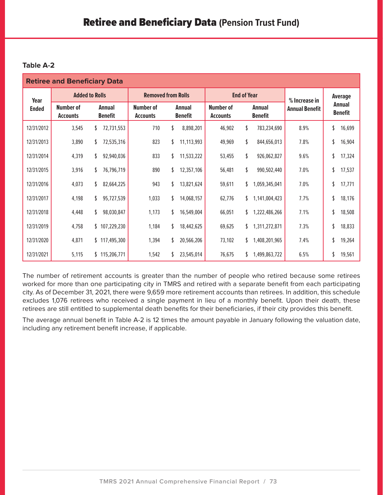| <b>Retiree and Beneficiary Data</b> |                                     |                                 |                                     |                                 |                                     |                                                          |               |                                 |  |  |
|-------------------------------------|-------------------------------------|---------------------------------|-------------------------------------|---------------------------------|-------------------------------------|----------------------------------------------------------|---------------|---------------------------------|--|--|
| Year                                |                                     | <b>Added to Rolls</b>           |                                     | <b>Removed from Rolls</b>       |                                     | <b>End of Year</b>                                       | % Increase in | Average                         |  |  |
| <b>Ended</b>                        | <b>Number of</b><br><b>Accounts</b> | <b>Annual</b><br><b>Benefit</b> | <b>Number of</b><br><b>Accounts</b> | <b>Annual</b><br><b>Benefit</b> | <b>Number of</b><br><b>Accounts</b> | <b>Annual</b><br><b>Annual Benefit</b><br><b>Benefit</b> |               | <b>Annual</b><br><b>Benefit</b> |  |  |
| 12/31/2012                          | 3,545                               | 72,731,553<br>\$                | 710                                 | \$<br>8,898,201                 | 46,902                              | \$<br>783,234,690                                        | 8.9%          | \$<br>16,699                    |  |  |
| 12/31/2013                          | 3,890                               | 72,535,316<br>\$                | 823                                 | 11,113,993<br>\$                | 49,969                              | \$<br>844,656,013                                        | 7.8%          | 16,904                          |  |  |
| 12/31/2014                          | 4,319                               | 92,940,036                      | 833                                 | 11,533,222                      | 53,455                              | \$<br>926,062,827                                        | 9.6%          | 17,324                          |  |  |
| 12/31/2015                          | 3,916                               | 76,796,719<br>S                 | 890                                 | 12,357,106<br>\$                | 56,481                              | \$<br>990,502,440                                        | 7.0%          | \$<br>17,537                    |  |  |
| 12/31/2016                          | 4,073                               | 82,664,225<br>\$                | 943                                 | 13,821,624<br>\$                | 59,611                              | \$<br>1,059,345,041                                      | 7.0%          | \$<br>17,771                    |  |  |
| 12/31/2017                          | 4,198                               | \$<br>95,727,539                | 1,033                               | 14,068,157<br>\$.               | 62,776                              | \$<br>1,141,004,423                                      | 7.7%          | \$<br>18,176                    |  |  |
| 12/31/2018                          | 4,448                               | 98,030,847<br>\$                | 1,173                               | 16,549,004<br>S.                | 66,051                              | \$<br>1,222,486,266                                      | 7.1%          | 18,508                          |  |  |
| 12/31/2019                          | 4,758                               | \$107,229,230                   | 1,184                               | 18,442,625                      | 69,625                              | \$<br>1,311,272,871                                      | 7.3%          | 18,833                          |  |  |
| 12/31/2020                          | 4,871                               | \$117,495,300                   | 1,394                               | 20,566,206                      | 73,102                              | \$<br>1,408,201,965                                      | 7.4%          | \$<br>19,264                    |  |  |
| 12/31/2021                          | 5,115                               | \$115,206,771                   | 1,542                               | 23,545,014                      | 76,675                              | 1,499,863,722<br>\$                                      | 6.5%          | \$<br>19,561                    |  |  |

The number of retirement accounts is greater than the number of people who retired because some retirees worked for more than one participating city in TMRS and retired with a separate benefit from each participating city. As of December 31, 2021, there were 9,659 more retirement accounts than retirees. In addition, this schedule excludes 1,076 retirees who received a single payment in lieu of a monthly benefit. Upon their death, these retirees are still entitled to supplemental death benefits for their beneficiaries, if their city provides this benefit.

The average annual benefit in Table A-2 is 12 times the amount payable in January following the valuation date, including any retirement benefit increase, if applicable.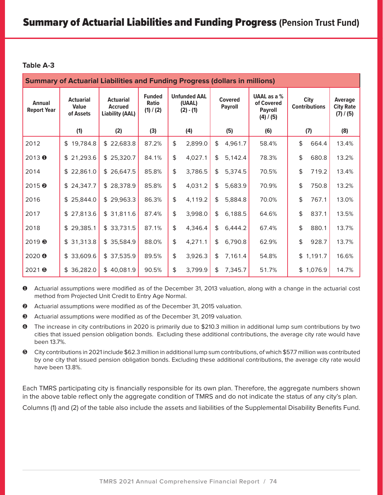| <b>Summary of Actuarial Liabilities and Funding Progress (dollars in millions)</b> |                                               |                                                              |                                            |    |                                              |                                                                                                                                            |         |       |    |                                          |       |
|------------------------------------------------------------------------------------|-----------------------------------------------|--------------------------------------------------------------|--------------------------------------------|----|----------------------------------------------|--------------------------------------------------------------------------------------------------------------------------------------------|---------|-------|----|------------------------------------------|-------|
| <b>Annual</b><br><b>Report Year</b>                                                | <b>Actuarial</b><br><b>Value</b><br>of Assets | <b>Actuarial</b><br><b>Accrued</b><br><b>Liability (AAL)</b> | <b>Funded</b><br><b>Ratio</b><br>(1) / (2) |    | <b>Unfunded AAL</b><br>(UAAL)<br>$(2) - (1)$ | <b>UAAL</b> as a %<br><b>City</b><br><b>Covered</b><br>of Covered<br><b>Contributions</b><br><b>Payroll</b><br><b>Payroll</b><br>(4) / (5) |         |       |    | Average<br><b>City Rate</b><br>(7) / (5) |       |
|                                                                                    | (1)                                           | (2)                                                          | (3)                                        |    | (4)                                          |                                                                                                                                            | (5)     | (6)   |    | (7)                                      | (8)   |
| 2012                                                                               | 19,784.8<br>\$                                | \$22,683.8                                                   | 87.2%                                      | \$ | 2,899.0                                      | \$                                                                                                                                         | 4,961.7 | 58.4% | \$ | 664.4                                    | 13.4% |
| 2013 0                                                                             | \$21,293.6                                    | \$25,320.7                                                   | 84.1%                                      | \$ | 4,027.1                                      | \$                                                                                                                                         | 5,142.4 | 78.3% | \$ | 680.8                                    | 13.2% |
| 2014                                                                               | \$22,861.0                                    | \$26,647.5                                                   | 85.8%                                      | \$ | 3,786.5                                      | \$                                                                                                                                         | 5,374.5 | 70.5% | \$ | 719.2                                    | 13.4% |
| $2015$ <sup><math>\odot</math></sup>                                               | \$24,347.7                                    | \$28,378.9                                                   | 85.8%                                      | \$ | 4,031.2                                      | \$                                                                                                                                         | 5,683.9 | 70.9% | \$ | 750.8                                    | 13.2% |
| 2016                                                                               | \$25,844.0                                    | \$29,963.3                                                   | 86.3%                                      | \$ | 4,119.2                                      | \$                                                                                                                                         | 5,884.8 | 70.0% | \$ | 767.1                                    | 13.0% |
| 2017                                                                               | \$27,813.6                                    | \$31,811.6                                                   | 87.4%                                      | \$ | 3,998.0                                      | \$                                                                                                                                         | 6,188.5 | 64.6% | \$ | 837.1                                    | 13.5% |
| 2018                                                                               | 29,385.1<br>\$                                | \$33,731.5                                                   | 87.1%                                      | \$ | 4,346.4                                      | \$                                                                                                                                         | 6,444.2 | 67.4% | \$ | 880.1                                    | 13.7% |
| 2019 ®                                                                             | \$31,313.8                                    | \$35,584.9                                                   | 88.0%                                      | \$ | 4,271.1                                      | \$                                                                                                                                         | 6,790.8 | 62.9% | \$ | 928.7                                    | 13.7% |
| 2020 @                                                                             | \$33,609.6                                    | \$37,535.9                                                   | 89.5%                                      | \$ | 3,926.3                                      | \$                                                                                                                                         | 7,161.4 | 54.8% |    | \$1,191.7                                | 16.6% |
| 20216                                                                              | \$36,282.0                                    | \$40,081.9                                                   | 90.5%                                      | \$ | 3,799.9                                      | \$                                                                                                                                         | 7,345.7 | 51.7% |    | \$1,076.9                                | 14.7% |

 Actuarial assumptions were modified as of the December 31, 2013 valuation, along with a change in the actuarial cost method from Projected Unit Credit to Entry Age Normal.

- Actuarial assumptions were modified as of the December 31, 2015 valuation.
- Actuarial assumptions were modified as of the December 31, 2019 valuation.
- The increase in city contributions in 2020 is primarily due to \$210.3 million in additional lump sum contributions by two cities that issued pension obligation bonds. Excluding these additional contributions, the average city rate would have been 13.7%.
- City contributions in 2021 include \$62.3 million in additional lump sum contributions, of which \$57.7 million was contributed by one city that issued pension obligation bonds. Excluding these additional contributions, the average city rate would have been 13.8%.

Each TMRS participating city is financially responsible for its own plan. Therefore, the aggregate numbers shown in the above table reflect only the aggregate condition of TMRS and do not indicate the status of any city's plan.

Columns (1) and (2) of the table also include the assets and liabilities of the Supplemental Disability Benefits Fund.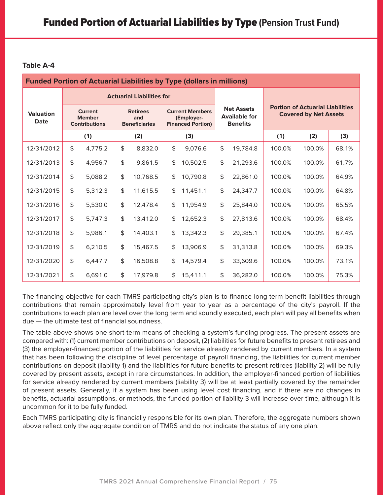| <b>Funded Portion of Actuarial Liabilities by Type (dollars in millions)</b> |                                                         |         |                                                |                                  |                                                                  |          |                                                              |          |                                                                         |        |       |
|------------------------------------------------------------------------------|---------------------------------------------------------|---------|------------------------------------------------|----------------------------------|------------------------------------------------------------------|----------|--------------------------------------------------------------|----------|-------------------------------------------------------------------------|--------|-------|
|                                                                              |                                                         |         |                                                | <b>Actuarial Liabilities for</b> |                                                                  |          |                                                              |          |                                                                         |        |       |
| <b>Valuation</b><br><b>Date</b>                                              | <b>Current</b><br><b>Member</b><br><b>Contributions</b> |         | <b>Retirees</b><br>and<br><b>Beneficiaries</b> |                                  | <b>Current Members</b><br>(Employer-<br><b>Financed Portion)</b> |          | <b>Net Assets</b><br><b>Available for</b><br><b>Benefits</b> |          | <b>Portion of Actuarial Liabilities</b><br><b>Covered by Net Assets</b> |        |       |
|                                                                              |                                                         | (1)     |                                                | (2)                              |                                                                  | (3)      |                                                              |          | (1)                                                                     | (2)    | (3)   |
| 12/31/2012                                                                   | \$                                                      | 4,775.2 | \$                                             | 8,832.0                          | \$                                                               | 9,076.6  | \$                                                           | 19,784.8 | 100.0%                                                                  | 100.0% | 68.1% |
| 12/31/2013                                                                   | \$                                                      | 4,956.7 | \$                                             | 9,861.5                          | \$                                                               | 10,502.5 | \$                                                           | 21,293.6 | 100.0%                                                                  | 100.0% | 61.7% |
| 12/31/2014                                                                   | \$                                                      | 5,088.2 | \$                                             | 10,768.5                         | \$                                                               | 10,790.8 | \$                                                           | 22,861.0 | 100.0%                                                                  | 100.0% | 64.9% |
| 12/31/2015                                                                   | \$                                                      | 5,312.3 | \$                                             | 11,615.5                         | \$                                                               | 11,451.1 | \$                                                           | 24,347.7 | 100.0%                                                                  | 100.0% | 64.8% |
| 12/31/2016                                                                   | \$                                                      | 5,530.0 | \$                                             | 12,478.4                         | \$                                                               | 11,954.9 | \$                                                           | 25,844.0 | 100.0%                                                                  | 100.0% | 65.5% |
| 12/31/2017                                                                   | \$                                                      | 5,747.3 | \$                                             | 13,412.0                         | \$                                                               | 12,652.3 | \$                                                           | 27,813.6 | 100.0%                                                                  | 100.0% | 68.4% |
| 12/31/2018                                                                   | \$                                                      | 5,986.1 | \$                                             | 14,403.1                         | \$                                                               | 13,342.3 | \$                                                           | 29,385.1 | 100.0%                                                                  | 100.0% | 67.4% |
| 12/31/2019                                                                   | \$                                                      | 6,210.5 | \$                                             | 15,467.5                         | \$                                                               | 13,906.9 | \$                                                           | 31,313.8 | 100.0%                                                                  | 100.0% | 69.3% |
| 12/31/2020                                                                   | \$                                                      | 6,447.7 | \$                                             | 16,508.8                         | \$                                                               | 14,579.4 | \$                                                           | 33,609.6 | 100.0%                                                                  | 100.0% | 73.1% |
| 12/31/2021                                                                   | \$                                                      | 6,691.0 | \$                                             | 17.979.8                         | \$                                                               | 15,411.1 | \$                                                           | 36,282.0 | 100.0%                                                                  | 100.0% | 75.3% |

The financing objective for each TMRS participating city's plan is to finance long-term benefit liabilities through contributions that remain approximately level from year to year as a percentage of the city's payroll. If the contributions to each plan are level over the long term and soundly executed, each plan will pay all benefits when due — the ultimate test of financial soundness.

The table above shows one short-term means of checking a system's funding progress. The present assets are compared with: (1) current member contributions on deposit, (2) liabilities for future benefits to present retirees and (3) the employer-financed portion of the liabilities for service already rendered by current members. In a system that has been following the discipline of level percentage of payroll financing, the liabilities for current member contributions on deposit (liability 1) and the liabilities for future benefits to present retirees (liability 2) will be fully covered by present assets, except in rare circumstances. In addition, the employer-financed portion of liabilities for service already rendered by current members (liability 3) will be at least partially covered by the remainder of present assets. Generally, if a system has been using level cost financing, and if there are no changes in benefits, actuarial assumptions, or methods, the funded portion of liability 3 will increase over time, although it is uncommon for it to be fully funded.

Each TMRS participating city is financially responsible for its own plan. Therefore, the aggregate numbers shown above reflect only the aggregate condition of TMRS and do not indicate the status of any one plan.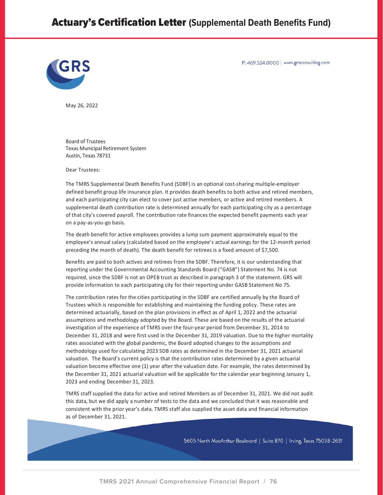# Actuary's Certification Letter **(Supplemental Death Benefits Fund)**



P: 469.524.0000 | www.grsconsulting.com

May 26, 2022

Board of Trustees Texas Municipal Retirement System Austin, Texas 78731

Dear Trustees:

The TMRS Supplemental Death Benefits Fund (SDBF) is an optional cost-sharing multiple-employer defined benefit group life insurance plan. It provides death benefits to both active and retired members, and each participating city can elect to cover just active members, or active and retired members. A supplemental death contribution rate is determined annually for each participating city as a percentage of that city's covered payroll. The contribution rate finances the expected benefit payments each year on a pay-as-you-go basis.

The death benefit for active employees provides a lump sum payment approximately equal to the employee's annual salary (calculated based on the employee's actual earnings for the 12-month period preceding the month of death). The death benefit for retirees is a fixed amount of \$7,500.

Benefits are paid to both actives and retirees from the SDBF. Therefore, it is our understanding that reporting under the Governmental Accounting Standards Board ("GASB") Statement No. 74 is not required, since the SDBF is not an OPEB trust as described in paragraph 3 of the statement. GRS will provide information to each participating city for their reporting under GASB Statement No 75.

The contribution rates for the cities participating in the SDBF are certified annually by the Board of Trustees which is responsible for establishing and maintaining the funding policy. These rates are determined actuarially, based on the plan provisions in effect as of April 1, 2022 and the actuarial assumptions and methodology adopted by the Board. These are based on the results of the actuarial investigation of the experience of TMRS over the four-year period from December 31, 2014 to December 31, 2018 and were first used in the December 31, 2019 valuation. Due to the higher mortality rates associated with the global pandemic, the Board adopted changes to the assumptions and methodology used for calculating 2023 SDB rates as determined in the December 31, 2021 actuarial valuation. The Board's current policy is that the contribution rates determined by a given actuarial valuation become effective one (1) year after the valuation date. For example, the rates determined by the December 31, 2021 actuarial valuation will be applicable for the calendar year beginning January 1, 2023 and ending December 31, 2023.

TMRS staff supplied the data for active and retired Members as of December 31, 2021. We did not audit this data, but we did apply a number of tests to the data and we concluded that it was reasonable and consistent with the prior year's data. TMRS staff also supplied the asset data and financial information as of December 31, 2021.

5605 North MacArthur Boulevard | Suite 870 | Irving, Texas 75038-2631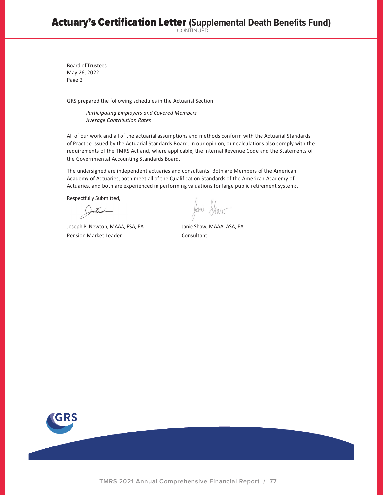Board of Trustees May 26, 2022 Page 2

GRS prepared the following schedules in the Actuarial Section:

*Participating Employers and Covered Members Average Contribution Rates* 

All of our work and all of the actuarial assumptions and methods conform with the Actuarial Standards of Practice issued by the Actuarial Standards Board. In our opinion, our calculations also comply with the requirements of the TMRS Act and, where applicable, the Internal Revenue Code and the Statements of the Governmental Accounting Standards Board.

The undersigned are independent actuaries and consultants. Both are Members of the American Academy of Actuaries, both meet all of the Qualification Standards of the American Academy of Actuaries, and both are experienced in performing valuations for large public retirement systems.

Respectfully Submitted,

Jollewto

Joseph P. Newton, MAAA, FSA, EA Janie Shaw, MAAA, ASA, EA Pension Market Leader Consultant

Jami Show

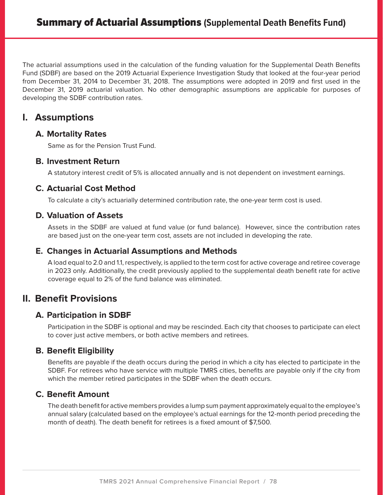The actuarial assumptions used in the calculation of the funding valuation for the Supplemental Death Benefits Fund (SDBF) are based on the 2019 Actuarial Experience Investigation Study that looked at the four-year period from December 31, 2014 to December 31, 2018. The assumptions were adopted in 2019 and first used in the December 31, 2019 actuarial valuation. No other demographic assumptions are applicable for purposes of developing the SDBF contribution rates.

## **I. Assumptions**

#### **A. Mortality Rates**

Same as for the Pension Trust Fund.

#### **B. Investment Return**

A statutory interest credit of 5% is allocated annually and is not dependent on investment earnings.

## **C. Actuarial Cost Method**

To calculate a city's actuarially determined contribution rate, the one-year term cost is used.

#### **D. Valuation of Assets**

Assets in the SDBF are valued at fund value (or fund balance). However, since the contribution rates are based just on the one-year term cost, assets are not included in developing the rate.

## **E. Changes in Actuarial Assumptions and Methods**

A load equal to 2.0 and 1.1, respectively, is applied to the term cost for active coverage and retiree coverage in 2023 only. Additionally, the credit previously applied to the supplemental death benefit rate for active coverage equal to 2% of the fund balance was eliminated.

# **II. Benefit Provisions**

## **A. Participation in SDBF**

Participation in the SDBF is optional and may be rescinded. Each city that chooses to participate can elect to cover just active members, or both active members and retirees.

### **B. Benefit Eligibility**

Benefits are payable if the death occurs during the period in which a city has elected to participate in the SDBF. For retirees who have service with multiple TMRS cities, benefits are payable only if the city from which the member retired participates in the SDBF when the death occurs.

### **C. Benefit Amount**

The death benefit for active members provides a lump sum payment approximately equal to the employee's annual salary (calculated based on the employee's actual earnings for the 12-month period preceding the month of death). The death benefit for retirees is a fixed amount of \$7,500.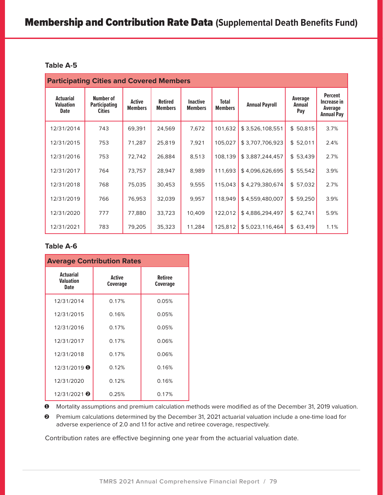| <b>Participating Cities and Covered Members</b>     |                                                    |                                 |                                  |                                   |                                |                       |                          |                                                               |
|-----------------------------------------------------|----------------------------------------------------|---------------------------------|----------------------------------|-----------------------------------|--------------------------------|-----------------------|--------------------------|---------------------------------------------------------------|
| <b>Actuarial</b><br><b>Valuation</b><br><b>Date</b> | Number of<br><b>Participating</b><br><b>Cities</b> | <b>Active</b><br><b>Members</b> | <b>Retired</b><br><b>Members</b> | <b>Inactive</b><br><b>Members</b> | <b>Total</b><br><b>Members</b> | <b>Annual Payroll</b> | Average<br>Annual<br>Pay | <b>Percent</b><br>Increase in<br>Average<br><b>Annual Pay</b> |
| 12/31/2014                                          | 743                                                | 69,391                          | 24,569                           | 7,672                             | 101,632                        | \$3,526,108,551       | \$50,815                 | 3.7%                                                          |
| 12/31/2015                                          | 753                                                | 71,287                          | 25,819                           | 7,921                             | 105,027                        | \$3,707,706,923       | \$52,011                 | 2.4%                                                          |
| 12/31/2016                                          | 753                                                | 72,742                          | 26,884                           | 8,513                             | 108.139                        | \$3,887,244,457       | \$53,439                 | 2.7%                                                          |
| 12/31/2017                                          | 764                                                | 73,757                          | 28,947                           | 8,989                             | 111,693                        | \$4,096,626,695       | \$55,542                 | 3.9%                                                          |
| 12/31/2018                                          | 768                                                | 75,035                          | 30,453                           | 9,555                             | 115,043                        | \$4,279,380,674       | \$57,032                 | 2.7%                                                          |
| 12/31/2019                                          | 766                                                | 76,953                          | 32,039                           | 9,957                             | 118,949                        | \$4,559,480,007       | \$59,250                 | 3.9%                                                          |
| 12/31/2020                                          | 777                                                | 77,880                          | 33,723                           | 10,409                            | 122,012                        | \$4,886,294,497       | \$62,741                 | 5.9%                                                          |
| 12/31/2021                                          | 783                                                | 79,205                          | 35,323                           | 11,284                            | 125,812                        | \$5,023,116,464       | \$63,419                 | 1.1%                                                          |

#### **Table A-6**

| <b>Average Contribution Rates</b>            |                                  |                            |  |  |  |  |
|----------------------------------------------|----------------------------------|----------------------------|--|--|--|--|
| <b>Actuarial</b><br>Valuation<br><b>Date</b> | <b>Active</b><br><b>Coverage</b> | <b>Retiree</b><br>Coverage |  |  |  |  |
| 12/31/2014                                   | 0.17%                            | 0.05%                      |  |  |  |  |
| 12/31/2015                                   | 0.16%                            | 0.05%                      |  |  |  |  |
| 12/31/2016                                   | 0.17%                            | 0.05%                      |  |  |  |  |
| 12/31/2017                                   | 0.17%                            | 0.06%                      |  |  |  |  |
| 12/31/2018                                   | 0.17%                            | 0.06%                      |  |  |  |  |
| $12/31/2019$ $\bullet$                       | 0.12%                            | 0.16%                      |  |  |  |  |
| 12/31/2020                                   | 0.12%                            | 0.16%                      |  |  |  |  |
| 12/31/2021 <sup><math>\odot</math></sup>     | 0.25%                            | 0.17%                      |  |  |  |  |

Mortality assumptions and premium calculation methods were modified as of the December 31, 2019 valuation.

 Premium calculations determined by the December 31, 2021 actuarial valuation include a one-time load for adverse experience of 2.0 and 1.1 for active and retiree coverage, respectively.

Contribution rates are effective beginning one year from the actuarial valuation date.